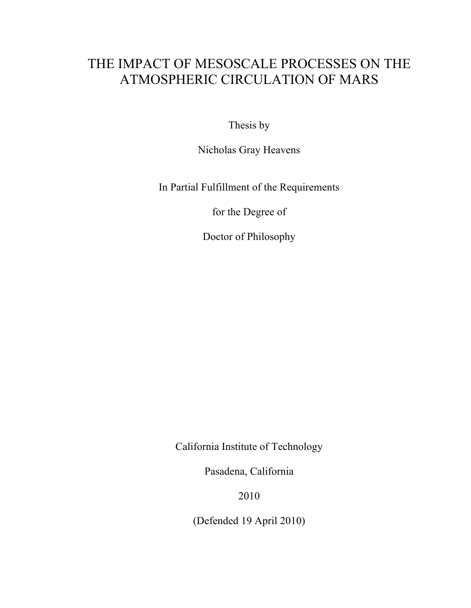# THE IMPACT OF MESOSCALE PROCESSES ON THE ATMOSPHERIC CIRCULATION OF MARS

Thesis by

Nicholas Gray Heavens

In Partial Fulfillment of the Requirements

for the Degree of

Doctor of Philosophy

California Institute of Technology

Pasadena, California

2010

(Defended 19 April 2010)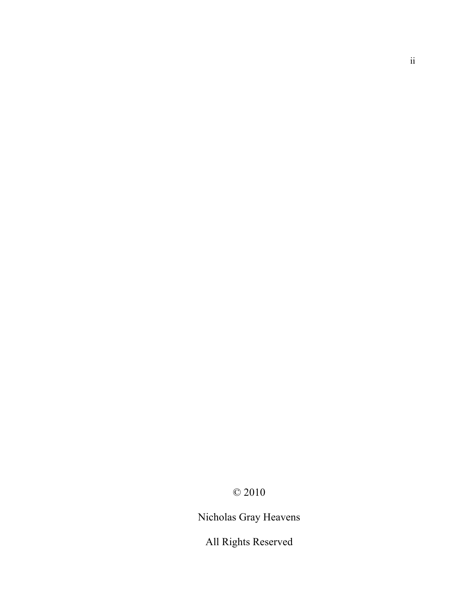Nicholas Gray Heavens

All Rights Reserved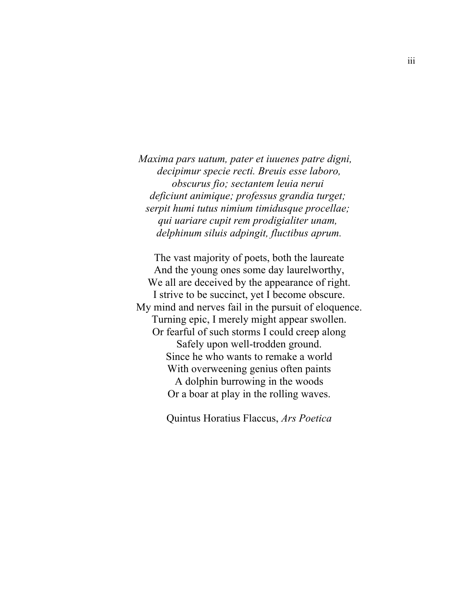*Maxima pars uatum, pater et iuuenes patre digni, decipimur specie recti. Breuis esse laboro, obscurus fio; sectantem leuia nerui deficiunt animique; professus grandia turget; serpit humi tutus nimium timidusque procellae; qui uariare cupit rem prodigialiter unam, delphinum siluis adpingit, fluctibus aprum.*

The vast majority of poets, both the laureate And the young ones some day laurelworthy, We all are deceived by the appearance of right. I strive to be succinct, yet I become obscure. My mind and nerves fail in the pursuit of eloquence. Turning epic, I merely might appear swollen. Or fearful of such storms I could creep along Safely upon well-trodden ground. Since he who wants to remake a world With overweening genius often paints A dolphin burrowing in the woods Or a boar at play in the rolling waves.

Quintus Horatius Flaccus, *Ars Poetica*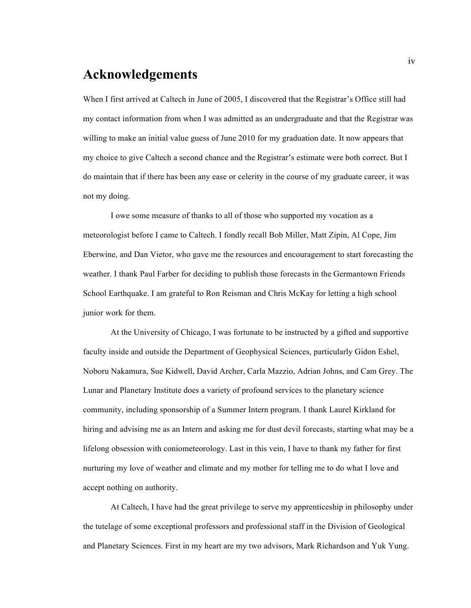#### **Acknowledgements**

When I first arrived at Caltech in June of 2005, I discovered that the Registrar's Office still had my contact information from when I was admitted as an undergraduate and that the Registrar was willing to make an initial value guess of June 2010 for my graduation date. It now appears that my choice to give Caltech a second chance and the Registrar's estimate were both correct. But I do maintain that if there has been any ease or celerity in the course of my graduate career, it was not my doing.

I owe some measure of thanks to all of those who supported my vocation as a meteorologist before I came to Caltech. I fondly recall Bob Miller, Matt Zipin, Al Cope, Jim Eberwine, and Dan Vietor, who gave me the resources and encouragement to start forecasting the weather. I thank Paul Farber for deciding to publish those forecasts in the Germantown Friends School Earthquake. I am grateful to Ron Reisman and Chris McKay for letting a high school junior work for them.

At the University of Chicago, I was fortunate to be instructed by a gifted and supportive faculty inside and outside the Department of Geophysical Sciences, particularly Gidon Eshel, Noboru Nakamura, Sue Kidwell, David Archer, Carla Mazzio, Adrian Johns, and Cam Grey. The Lunar and Planetary Institute does a variety of profound services to the planetary science community, including sponsorship of a Summer Intern program. I thank Laurel Kirkland for hiring and advising me as an Intern and asking me for dust devil forecasts, starting what may be a lifelong obsession with coniometeorology. Last in this vein, I have to thank my father for first nurturing my love of weather and climate and my mother for telling me to do what I love and accept nothing on authority.

At Caltech, I have had the great privilege to serve my apprenticeship in philosophy under the tutelage of some exceptional professors and professional staff in the Division of Geological and Planetary Sciences. First in my heart are my two advisors, Mark Richardson and Yuk Yung.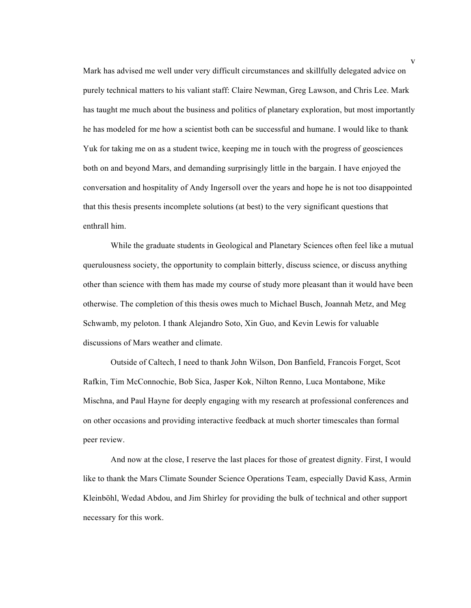Mark has advised me well under very difficult circumstances and skillfully delegated advice on purely technical matters to his valiant staff: Claire Newman, Greg Lawson, and Chris Lee. Mark has taught me much about the business and politics of planetary exploration, but most importantly he has modeled for me how a scientist both can be successful and humane. I would like to thank Yuk for taking me on as a student twice, keeping me in touch with the progress of geosciences both on and beyond Mars, and demanding surprisingly little in the bargain. I have enjoyed the conversation and hospitality of Andy Ingersoll over the years and hope he is not too disappointed that this thesis presents incomplete solutions (at best) to the very significant questions that enthrall him.

While the graduate students in Geological and Planetary Sciences often feel like a mutual querulousness society, the opportunity to complain bitterly, discuss science, or discuss anything other than science with them has made my course of study more pleasant than it would have been otherwise. The completion of this thesis owes much to Michael Busch, Joannah Metz, and Meg Schwamb, my peloton. I thank Alejandro Soto, Xin Guo, and Kevin Lewis for valuable discussions of Mars weather and climate.

Outside of Caltech, I need to thank John Wilson, Don Banfield, Francois Forget, Scot Rafkin, Tim McConnochie, Bob Sica, Jasper Kok, Nilton Renno, Luca Montabone, Mike Mischna, and Paul Hayne for deeply engaging with my research at professional conferences and on other occasions and providing interactive feedback at much shorter timescales than formal peer review.

And now at the close, I reserve the last places for those of greatest dignity. First, I would like to thank the Mars Climate Sounder Science Operations Team, especially David Kass, Armin Kleinböhl, Wedad Abdou, and Jim Shirley for providing the bulk of technical and other support necessary for this work.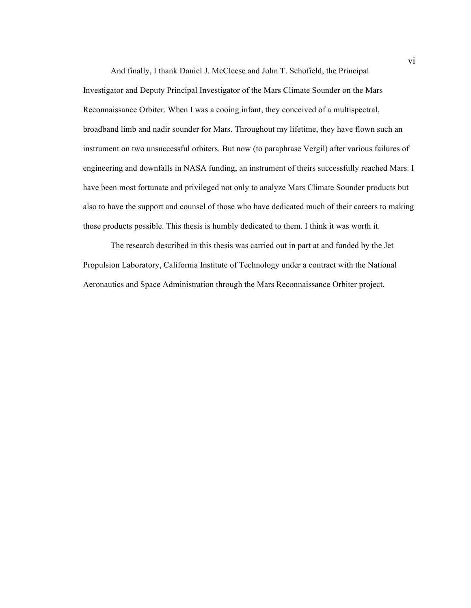And finally, I thank Daniel J. McCleese and John T. Schofield, the Principal Investigator and Deputy Principal Investigator of the Mars Climate Sounder on the Mars Reconnaissance Orbiter. When I was a cooing infant, they conceived of a multispectral, broadband limb and nadir sounder for Mars. Throughout my lifetime, they have flown such an instrument on two unsuccessful orbiters. But now (to paraphrase Vergil) after various failures of engineering and downfalls in NASA funding, an instrument of theirs successfully reached Mars. I have been most fortunate and privileged not only to analyze Mars Climate Sounder products but also to have the support and counsel of those who have dedicated much of their careers to making those products possible. This thesis is humbly dedicated to them. I think it was worth it.

The research described in this thesis was carried out in part at and funded by the Jet Propulsion Laboratory, California Institute of Technology under a contract with the National Aeronautics and Space Administration through the Mars Reconnaissance Orbiter project.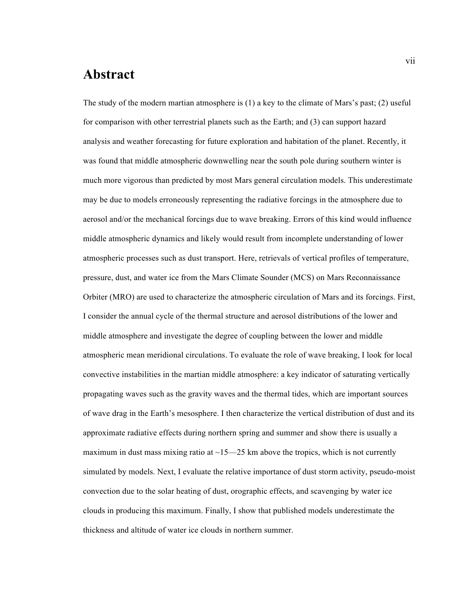#### **Abstract**

The study of the modern martian atmosphere is  $(1)$  a key to the climate of Mars's past;  $(2)$  useful for comparison with other terrestrial planets such as the Earth; and (3) can support hazard analysis and weather forecasting for future exploration and habitation of the planet. Recently, it was found that middle atmospheric downwelling near the south pole during southern winter is much more vigorous than predicted by most Mars general circulation models. This underestimate may be due to models erroneously representing the radiative forcings in the atmosphere due to aerosol and/or the mechanical forcings due to wave breaking. Errors of this kind would influence middle atmospheric dynamics and likely would result from incomplete understanding of lower atmospheric processes such as dust transport. Here, retrievals of vertical profiles of temperature, pressure, dust, and water ice from the Mars Climate Sounder (MCS) on Mars Reconnaissance Orbiter (MRO) are used to characterize the atmospheric circulation of Mars and its forcings. First, I consider the annual cycle of the thermal structure and aerosol distributions of the lower and middle atmosphere and investigate the degree of coupling between the lower and middle atmospheric mean meridional circulations. To evaluate the role of wave breaking, I look for local convective instabilities in the martian middle atmosphere: a key indicator of saturating vertically propagating waves such as the gravity waves and the thermal tides, which are important sources of wave drag in the Earth's mesosphere. I then characterize the vertical distribution of dust and its approximate radiative effects during northern spring and summer and show there is usually a maximum in dust mass mixing ratio at  $\sim$ 15—25 km above the tropics, which is not currently simulated by models. Next, I evaluate the relative importance of dust storm activity, pseudo-moist convection due to the solar heating of dust, orographic effects, and scavenging by water ice clouds in producing this maximum. Finally, I show that published models underestimate the thickness and altitude of water ice clouds in northern summer.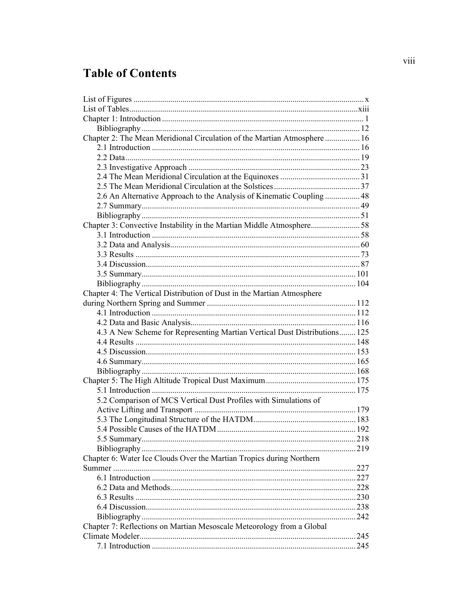# **Table of Contents**

| Chapter 2: The Mean Meridional Circulation of the Martian Atmosphere  16  |      |
|---------------------------------------------------------------------------|------|
|                                                                           |      |
|                                                                           |      |
|                                                                           |      |
|                                                                           |      |
|                                                                           |      |
| 2.6 An Alternative Approach to the Analysis of Kinematic Coupling  48     |      |
|                                                                           |      |
|                                                                           |      |
| Chapter 3: Convective Instability in the Martian Middle Atmosphere58      |      |
|                                                                           |      |
|                                                                           |      |
|                                                                           |      |
|                                                                           |      |
|                                                                           |      |
|                                                                           |      |
| Chapter 4: The Vertical Distribution of Dust in the Martian Atmosphere    |      |
|                                                                           |      |
|                                                                           |      |
|                                                                           |      |
| 4.3 A New Scheme for Representing Martian Vertical Dust Distributions 125 |      |
|                                                                           |      |
|                                                                           |      |
|                                                                           |      |
|                                                                           |      |
|                                                                           |      |
|                                                                           |      |
| 5.2 Comparison of MCS Vertical Dust Profiles with Simulations of          |      |
|                                                                           |      |
|                                                                           |      |
|                                                                           |      |
|                                                                           | .218 |
|                                                                           |      |
| Chapter 6: Water Ice Clouds Over the Martian Tropics during Northern      |      |
|                                                                           | 227  |
|                                                                           |      |
|                                                                           |      |
|                                                                           |      |
|                                                                           |      |
|                                                                           | .242 |
| Chapter 7: Reflections on Martian Mesoscale Meteorology from a Global     |      |
|                                                                           | 245  |
|                                                                           | 245  |
|                                                                           |      |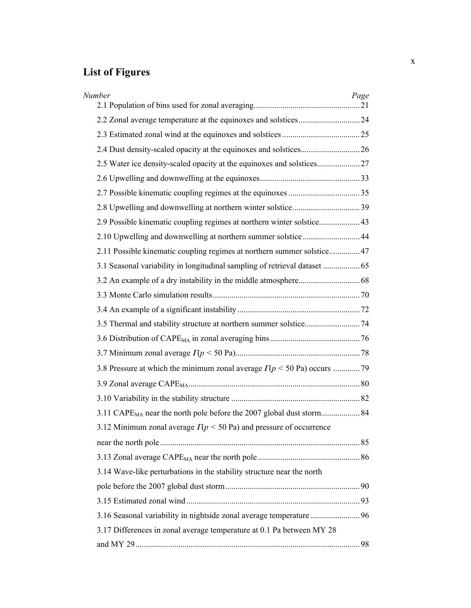# **List of Figures**

| Number                                                                              | Page |
|-------------------------------------------------------------------------------------|------|
|                                                                                     |      |
|                                                                                     |      |
|                                                                                     |      |
| 2.5 Water ice density-scaled opacity at the equinoxes and solstices27               |      |
|                                                                                     |      |
|                                                                                     |      |
|                                                                                     |      |
| 2.9 Possible kinematic coupling regimes at northern winter solstice 43              |      |
| 2.10 Upwelling and downwelling at northern summer solstice44                        |      |
| 2.11 Possible kinematic coupling regimes at northern summer solstice 47             |      |
|                                                                                     |      |
|                                                                                     |      |
|                                                                                     |      |
|                                                                                     |      |
|                                                                                     |      |
|                                                                                     |      |
|                                                                                     |      |
|                                                                                     |      |
|                                                                                     |      |
|                                                                                     |      |
|                                                                                     |      |
| 3.12 Minimum zonal average $\Gamma(p \le 50 \text{ Pa})$ and pressure of occurrence |      |
|                                                                                     |      |
|                                                                                     |      |
| 3.14 Wave-like perturbations in the stability structure near the north              |      |
|                                                                                     |      |
|                                                                                     |      |
| 3.16 Seasonal variability in nightside zonal average temperature 96                 |      |
| 3.17 Differences in zonal average temperature at 0.1 Pa between MY 28               |      |
|                                                                                     |      |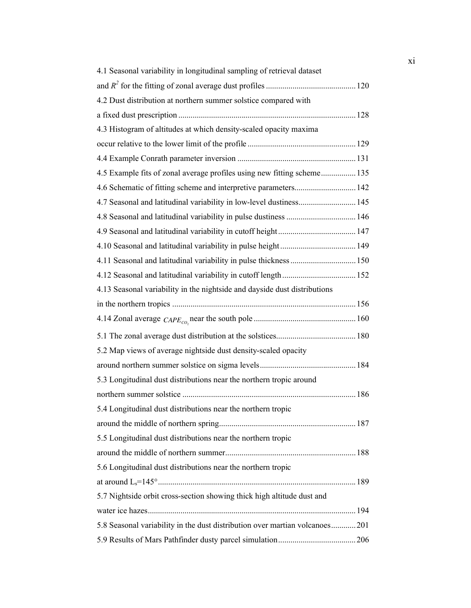| 4.1 Seasonal variability in longitudinal sampling of retrieval dataset       |  |
|------------------------------------------------------------------------------|--|
|                                                                              |  |
| 4.2 Dust distribution at northern summer solstice compared with              |  |
|                                                                              |  |
| 4.3 Histogram of altitudes at which density-scaled opacity maxima            |  |
|                                                                              |  |
|                                                                              |  |
| 4.5 Example fits of zonal average profiles using new fitting scheme 135      |  |
|                                                                              |  |
| 4.7 Seasonal and latitudinal variability in low-level dustiness 145          |  |
| 4.8 Seasonal and latitudinal variability in pulse dustiness  146             |  |
|                                                                              |  |
|                                                                              |  |
| 4.11 Seasonal and latitudinal variability in pulse thickness  150            |  |
|                                                                              |  |
| 4.13 Seasonal variability in the nightside and dayside dust distributions    |  |
|                                                                              |  |
|                                                                              |  |
|                                                                              |  |
| 5.2 Map views of average nightside dust density-scaled opacity               |  |
|                                                                              |  |
| 5.3 Longitudinal dust distributions near the northern tropic around          |  |
|                                                                              |  |
| 5.4 Longitudinal dust distributions near the northern tropic                 |  |
|                                                                              |  |
| 5.5 Longitudinal dust distributions near the northern tropic                 |  |
|                                                                              |  |
| 5.6 Longitudinal dust distributions near the northern tropic                 |  |
|                                                                              |  |
| 5.7 Nightside orbit cross-section showing thick high altitude dust and       |  |
|                                                                              |  |
| 5.8 Seasonal variability in the dust distribution over martian volcanoes 201 |  |
|                                                                              |  |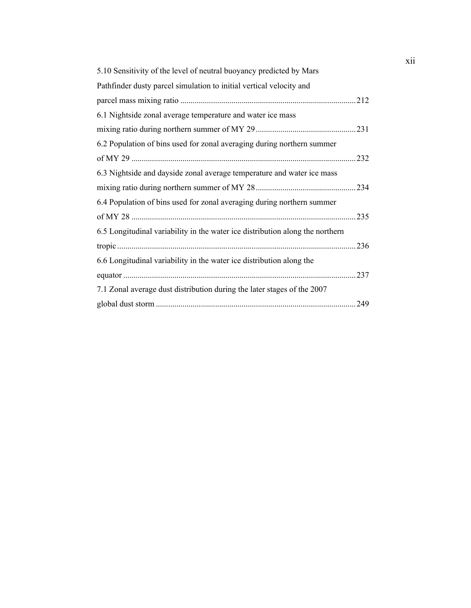| 5.10 Sensitivity of the level of neutral buoyancy predicted by Mars           |     |
|-------------------------------------------------------------------------------|-----|
| Pathfinder dusty parcel simulation to initial vertical velocity and           |     |
|                                                                               |     |
| 6.1 Nightside zonal average temperature and water ice mass                    |     |
|                                                                               | 231 |
| 6.2 Population of bins used for zonal averaging during northern summer        |     |
|                                                                               | 232 |
| 6.3 Nightside and dayside zonal average temperature and water ice mass        |     |
|                                                                               | 234 |
| 6.4 Population of bins used for zonal averaging during northern summer        |     |
|                                                                               | 235 |
| 6.5 Longitudinal variability in the water ice distribution along the northern |     |
|                                                                               | 236 |
| 6.6 Longitudinal variability in the water ice distribution along the          |     |
|                                                                               | 237 |
| 7.1 Zonal average dust distribution during the later stages of the 2007       |     |
|                                                                               | 249 |